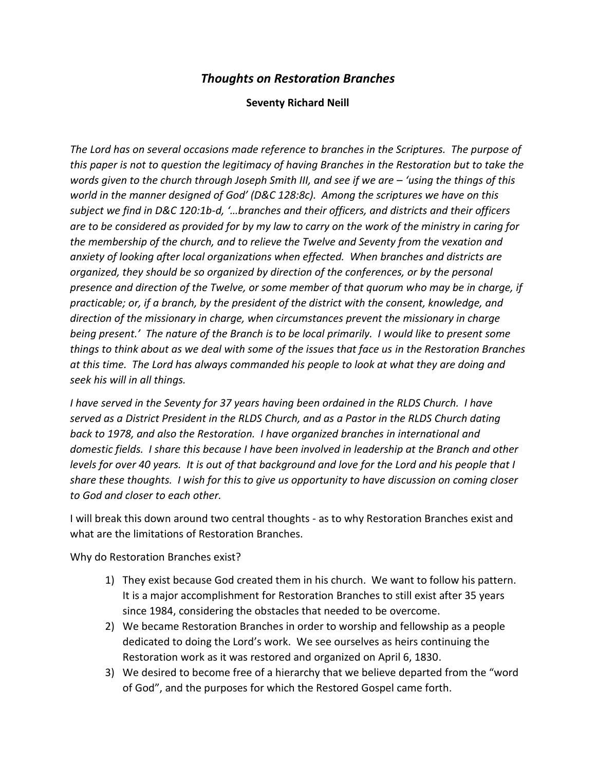## *Thoughts on Restoration Branches*

## **Seventy Richard Neill**

*The Lord has on several occasions made reference to branches in the Scriptures. The purpose of this paper is not to question the legitimacy of having Branches in the Restoration but to take the words given to the church through Joseph Smith III, and see if we are – 'using the things of this world in the manner designed of God' (D&C 128:8c). Among the scriptures we have on this subject we find in D&C 120:1b-d, '…branches and their officers, and districts and their officers are to be considered as provided for by my law to carry on the work of the ministry in caring for the membership of the church, and to relieve the Twelve and Seventy from the vexation and anxiety of looking after local organizations when effected. When branches and districts are organized, they should be so organized by direction of the conferences, or by the personal presence and direction of the Twelve, or some member of that quorum who may be in charge, if practicable; or, if a branch, by the president of the district with the consent, knowledge, and direction of the missionary in charge, when circumstances prevent the missionary in charge being present.'* The nature of the Branch is to be local primarily. I would like to present some *things to think about as we deal with some of the issues that face us in the Restoration Branches at this time. The Lord has always commanded his people to look at what they are doing and seek his will in all things.*

*I have served in the Seventy for 37 years having been ordained in the RLDS Church. I have served as a District President in the RLDS Church, and as a Pastor in the RLDS Church dating back to 1978, and also the Restoration. I have organized branches in international and domestic fields. I share this because I have been involved in leadership at the Branch and other levels for over 40 years. It is out of that background and love for the Lord and his people that I share these thoughts. I wish for this to give us opportunity to have discussion on coming closer to God and closer to each other.*

I will break this down around two central thoughts - as to why Restoration Branches exist and what are the limitations of Restoration Branches.

Why do Restoration Branches exist?

- 1) They exist because God created them in his church. We want to follow his pattern. It is a major accomplishment for Restoration Branches to still exist after 35 years since 1984, considering the obstacles that needed to be overcome.
- 2) We became Restoration Branches in order to worship and fellowship as a people dedicated to doing the Lord's work. We see ourselves as heirs continuing the Restoration work as it was restored and organized on April 6, 1830.
- 3) We desired to become free of a hierarchy that we believe departed from the "word of God", and the purposes for which the Restored Gospel came forth.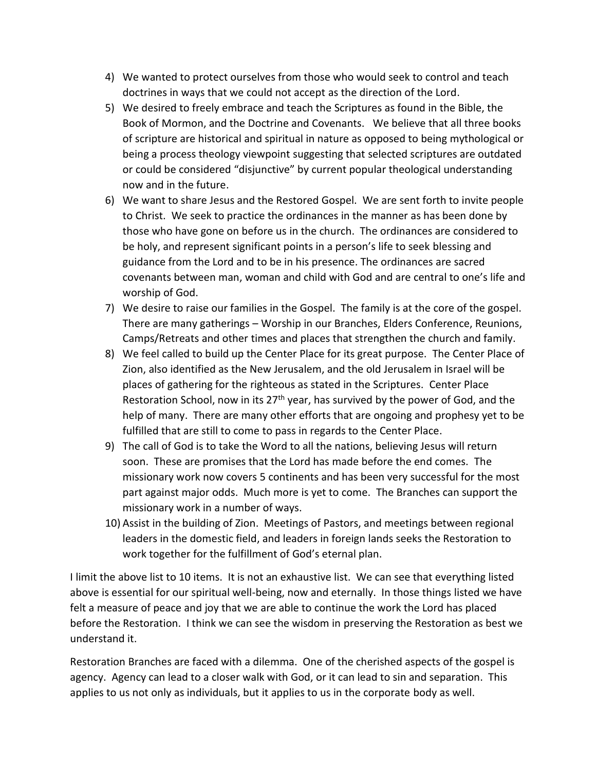- 4) We wanted to protect ourselves from those who would seek to control and teach doctrines in ways that we could not accept as the direction of the Lord.
- 5) We desired to freely embrace and teach the Scriptures as found in the Bible, the Book of Mormon, and the Doctrine and Covenants. We believe that all three books of scripture are historical and spiritual in nature as opposed to being mythological or being a process theology viewpoint suggesting that selected scriptures are outdated or could be considered "disjunctive" by current popular theological understanding now and in the future.
- 6) We want to share Jesus and the Restored Gospel. We are sent forth to invite people to Christ. We seek to practice the ordinances in the manner as has been done by those who have gone on before us in the church. The ordinances are considered to be holy, and represent significant points in a person's life to seek blessing and guidance from the Lord and to be in his presence. The ordinances are sacred covenants between man, woman and child with God and are central to one's life and worship of God.
- 7) We desire to raise our families in the Gospel. The family is at the core of the gospel. There are many gatherings – Worship in our Branches, Elders Conference, Reunions, Camps/Retreats and other times and places that strengthen the church and family.
- 8) We feel called to build up the Center Place for its great purpose. The Center Place of Zion, also identified as the New Jerusalem, and the old Jerusalem in Israel will be places of gathering for the righteous as stated in the Scriptures. Center Place Restoration School, now in its  $27<sup>th</sup>$  year, has survived by the power of God, and the help of many. There are many other efforts that are ongoing and prophesy yet to be fulfilled that are still to come to pass in regards to the Center Place.
- 9) The call of God is to take the Word to all the nations, believing Jesus will return soon. These are promises that the Lord has made before the end comes. The missionary work now covers 5 continents and has been very successful for the most part against major odds. Much more is yet to come. The Branches can support the missionary work in a number of ways.
- 10) Assist in the building of Zion. Meetings of Pastors, and meetings between regional leaders in the domestic field, and leaders in foreign lands seeks the Restoration to work together for the fulfillment of God's eternal plan.

I limit the above list to 10 items. It is not an exhaustive list. We can see that everything listed above is essential for our spiritual well-being, now and eternally. In those things listed we have felt a measure of peace and joy that we are able to continue the work the Lord has placed before the Restoration. I think we can see the wisdom in preserving the Restoration as best we understand it.

Restoration Branches are faced with a dilemma. One of the cherished aspects of the gospel is agency. Agency can lead to a closer walk with God, or it can lead to sin and separation. This applies to us not only as individuals, but it applies to us in the corporate body as well.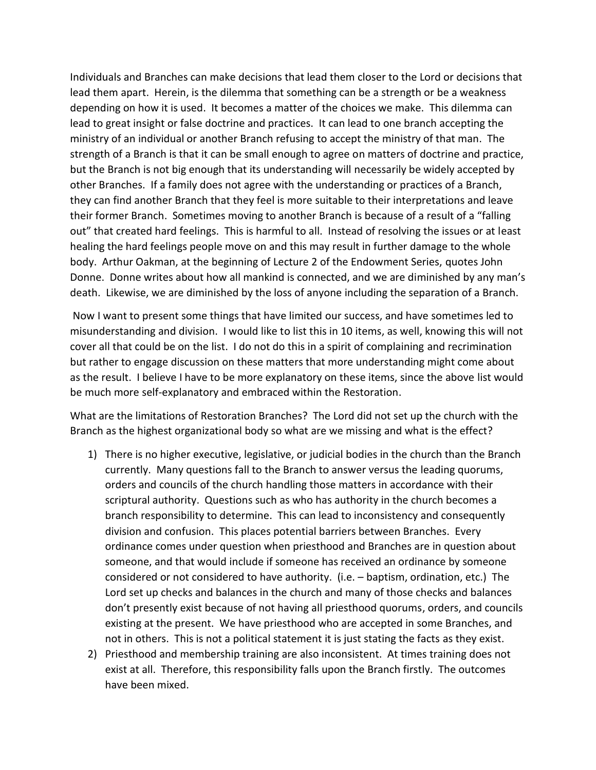Individuals and Branches can make decisions that lead them closer to the Lord or decisions that lead them apart. Herein, is the dilemma that something can be a strength or be a weakness depending on how it is used. It becomes a matter of the choices we make. This dilemma can lead to great insight or false doctrine and practices. It can lead to one branch accepting the ministry of an individual or another Branch refusing to accept the ministry of that man. The strength of a Branch is that it can be small enough to agree on matters of doctrine and practice, but the Branch is not big enough that its understanding will necessarily be widely accepted by other Branches. If a family does not agree with the understanding or practices of a Branch, they can find another Branch that they feel is more suitable to their interpretations and leave their former Branch. Sometimes moving to another Branch is because of a result of a "falling out" that created hard feelings. This is harmful to all. Instead of resolving the issues or at least healing the hard feelings people move on and this may result in further damage to the whole body. Arthur Oakman, at the beginning of Lecture 2 of the Endowment Series, quotes John Donne. Donne writes about how all mankind is connected, and we are diminished by any man's death. Likewise, we are diminished by the loss of anyone including the separation of a Branch.

Now I want to present some things that have limited our success, and have sometimes led to misunderstanding and division. I would like to list this in 10 items, as well, knowing this will not cover all that could be on the list. I do not do this in a spirit of complaining and recrimination but rather to engage discussion on these matters that more understanding might come about as the result. I believe I have to be more explanatory on these items, since the above list would be much more self-explanatory and embraced within the Restoration.

What are the limitations of Restoration Branches? The Lord did not set up the church with the Branch as the highest organizational body so what are we missing and what is the effect?

- 1) There is no higher executive, legislative, or judicial bodies in the church than the Branch currently. Many questions fall to the Branch to answer versus the leading quorums, orders and councils of the church handling those matters in accordance with their scriptural authority. Questions such as who has authority in the church becomes a branch responsibility to determine. This can lead to inconsistency and consequently division and confusion. This places potential barriers between Branches. Every ordinance comes under question when priesthood and Branches are in question about someone, and that would include if someone has received an ordinance by someone considered or not considered to have authority. (i.e. – baptism, ordination, etc.) The Lord set up checks and balances in the church and many of those checks and balances don't presently exist because of not having all priesthood quorums, orders, and councils existing at the present. We have priesthood who are accepted in some Branches, and not in others. This is not a political statement it is just stating the facts as they exist.
- 2) Priesthood and membership training are also inconsistent. At times training does not exist at all. Therefore, this responsibility falls upon the Branch firstly. The outcomes have been mixed.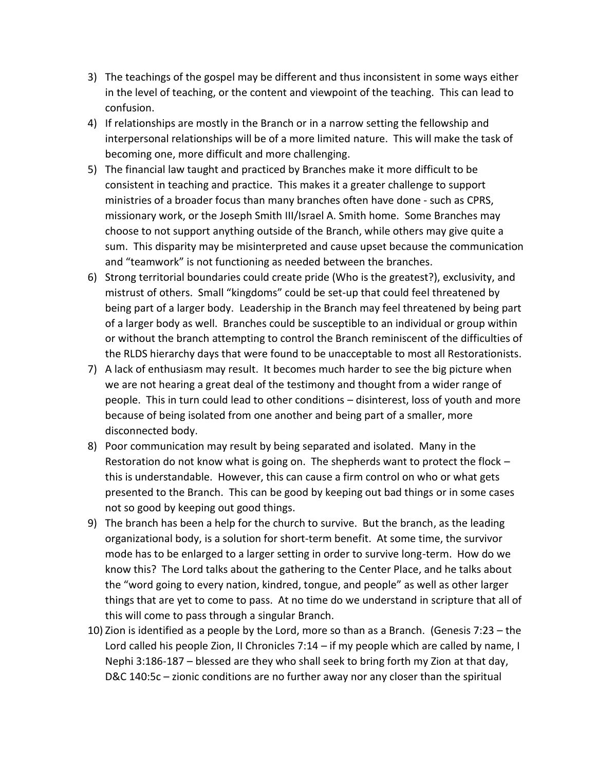- 3) The teachings of the gospel may be different and thus inconsistent in some ways either in the level of teaching, or the content and viewpoint of the teaching. This can lead to confusion.
- 4) If relationships are mostly in the Branch or in a narrow setting the fellowship and interpersonal relationships will be of a more limited nature. This will make the task of becoming one, more difficult and more challenging.
- 5) The financial law taught and practiced by Branches make it more difficult to be consistent in teaching and practice. This makes it a greater challenge to support ministries of a broader focus than many branches often have done - such as CPRS, missionary work, or the Joseph Smith III/Israel A. Smith home. Some Branches may choose to not support anything outside of the Branch, while others may give quite a sum. This disparity may be misinterpreted and cause upset because the communication and "teamwork" is not functioning as needed between the branches.
- 6) Strong territorial boundaries could create pride (Who is the greatest?), exclusivity, and mistrust of others. Small "kingdoms" could be set-up that could feel threatened by being part of a larger body. Leadership in the Branch may feel threatened by being part of a larger body as well. Branches could be susceptible to an individual or group within or without the branch attempting to control the Branch reminiscent of the difficulties of the RLDS hierarchy days that were found to be unacceptable to most all Restorationists.
- 7) A lack of enthusiasm may result. It becomes much harder to see the big picture when we are not hearing a great deal of the testimony and thought from a wider range of people. This in turn could lead to other conditions – disinterest, loss of youth and more because of being isolated from one another and being part of a smaller, more disconnected body.
- 8) Poor communication may result by being separated and isolated. Many in the Restoration do not know what is going on. The shepherds want to protect the flock – this is understandable. However, this can cause a firm control on who or what gets presented to the Branch. This can be good by keeping out bad things or in some cases not so good by keeping out good things.
- 9) The branch has been a help for the church to survive. But the branch, as the leading organizational body, is a solution for short-term benefit. At some time, the survivor mode has to be enlarged to a larger setting in order to survive long-term. How do we know this? The Lord talks about the gathering to the Center Place, and he talks about the "word going to every nation, kindred, tongue, and people" as well as other larger things that are yet to come to pass. At no time do we understand in scripture that all of this will come to pass through a singular Branch.
- 10) Zion is identified as a people by the Lord, more so than as a Branch. (Genesis 7:23 the Lord called his people Zion, II Chronicles 7:14 – if my people which are called by name, I Nephi 3:186-187 – blessed are they who shall seek to bring forth my Zion at that day, D&C 140:5c – zionic conditions are no further away nor any closer than the spiritual